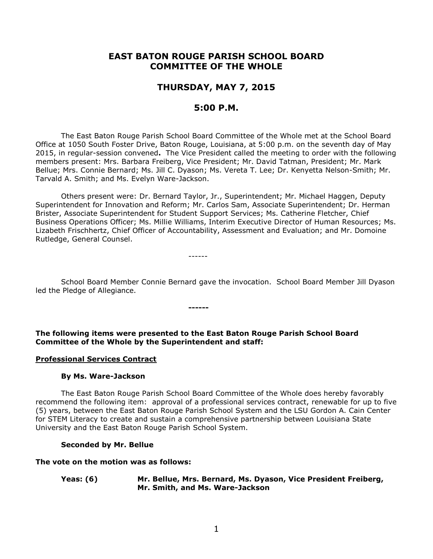# **EAST BATON ROUGE PARISH SCHOOL BOARD COMMITTEE OF THE WHOLE**

# **THURSDAY, MAY 7, 2015**

## **5:00 P.M.**

The East Baton Rouge Parish School Board Committee of the Whole met at the School Board Office at 1050 South Foster Drive, Baton Rouge, Louisiana, at 5:00 p.m. on the seventh day of May 2015, in regular-session convened**.** The Vice President called the meeting to order with the following members present: Mrs. Barbara Freiberg, Vice President; Mr. David Tatman, President; Mr. Mark Bellue; Mrs. Connie Bernard; Ms. Jill C. Dyason; Ms. Vereta T. Lee; Dr. Kenyetta Nelson-Smith; Mr. Tarvald A. Smith; and Ms. Evelyn Ware-Jackson.

Others present were: Dr. Bernard Taylor, Jr., Superintendent; Mr. Michael Haggen, Deputy Superintendent for Innovation and Reform; Mr. Carlos Sam, Associate Superintendent; Dr. Herman Brister, Associate Superintendent for Student Support Services; Ms. Catherine Fletcher, Chief Business Operations Officer; Ms. Millie Williams, Interim Executive Director of Human Resources; Ms. Lizabeth Frischhertz, Chief Officer of Accountability, Assessment and Evaluation; and Mr. Domoine Rutledge, General Counsel.

------

School Board Member Connie Bernard gave the invocation. School Board Member Jill Dyason led the Pledge of Allegiance.

**The following items were presented to the East Baton Rouge Parish School Board Committee of the Whole by the Superintendent and staff:**

**------**

#### **Professional Services Contract**

#### **By Ms. Ware-Jackson**

The East Baton Rouge Parish School Board Committee of the Whole does hereby favorably recommend the following item: approval of a professional services contract, renewable for up to five (5) years, between the East Baton Rouge Parish School System and the LSU Gordon A. Cain Center for STEM Literacy to create and sustain a comprehensive partnership between Louisiana State University and the East Baton Rouge Parish School System.

#### **Seconded by Mr. Bellue**

#### **The vote on the motion was as follows:**

#### **Yeas: (6) Mr. Bellue, Mrs. Bernard, Ms. Dyason, Vice President Freiberg, Mr. Smith, and Ms. Ware-Jackson**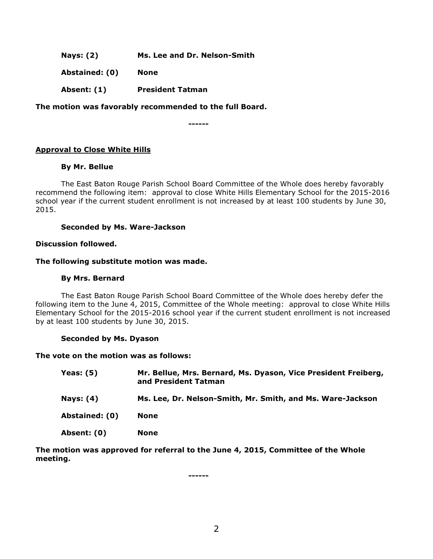**Nays: (2) Ms. Lee and Dr. Nelson-Smith**

**Abstained: (0) None**

**Absent: (1) President Tatman**

**The motion was favorably recommended to the full Board.**

**------**

## **Approval to Close White Hills**

### **By Mr. Bellue**

The East Baton Rouge Parish School Board Committee of the Whole does hereby favorably recommend the following item: approval to close White Hills Elementary School for the 2015-2016 school year if the current student enrollment is not increased by at least 100 students by June 30, 2015.

### **Seconded by Ms. Ware-Jackson**

### **Discussion followed.**

#### **The following substitute motion was made.**

#### **By Mrs. Bernard**

The East Baton Rouge Parish School Board Committee of the Whole does hereby defer the following item to the June 4, 2015, Committee of the Whole meeting: approval to close White Hills Elementary School for the 2015-2016 school year if the current student enrollment is not increased by at least 100 students by June 30, 2015.

### **Seconded by Ms. Dyason**

#### **The vote on the motion was as follows:**

| <b>Yeas: (5)</b> | Mr. Bellue, Mrs. Bernard, Ms. Dyason, Vice President Freiberg,<br>and President Tatman |
|------------------|----------------------------------------------------------------------------------------|
| Nays: (4)        | Ms. Lee, Dr. Nelson-Smith, Mr. Smith, and Ms. Ware-Jackson                             |
| Abstained: (0)   | <b>None</b>                                                                            |
| Absent: (0)      | None                                                                                   |

**The motion was approved for referral to the June 4, 2015, Committee of the Whole meeting.**

**------**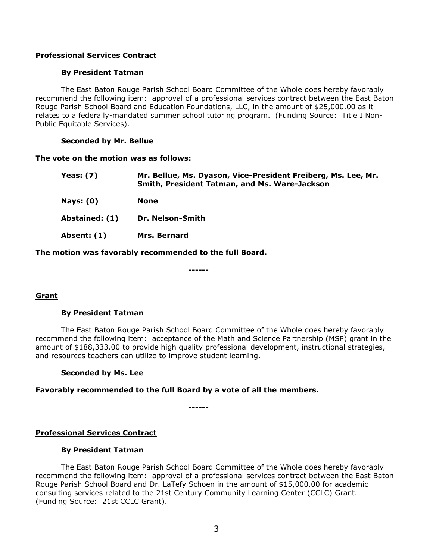### **Professional Services Contract**

### **By President Tatman**

The East Baton Rouge Parish School Board Committee of the Whole does hereby favorably recommend the following item: approval of a professional services contract between the East Baton Rouge Parish School Board and Education Foundations, LLC, in the amount of \$25,000.00 as it relates to a federally-mandated summer school tutoring program. (Funding Source: Title I Non-Public Equitable Services).

### **Seconded by Mr. Bellue**

#### **The vote on the motion was as follows:**

| Yeas: $(7)$    | Mr. Bellue, Ms. Dyason, Vice-President Freiberg, Ms. Lee, Mr.<br>Smith, President Tatman, and Ms. Ware-Jackson |
|----------------|----------------------------------------------------------------------------------------------------------------|
| Nays: $(0)$    | <b>None</b>                                                                                                    |
| Abstained: (1) | <b>Dr. Nelson-Smith</b>                                                                                        |
| Absent: (1)    | <b>Mrs. Bernard</b>                                                                                            |

**The motion was favorably recommended to the full Board.**

**------**

### **Grant**

### **By President Tatman**

The East Baton Rouge Parish School Board Committee of the Whole does hereby favorably recommend the following item: acceptance of the Math and Science Partnership (MSP) grant in the amount of \$188,333.00 to provide high quality professional development, instructional strategies, and resources teachers can utilize to improve student learning.

### **Seconded by Ms. Lee**

### **Favorably recommended to the full Board by a vote of all the members.**

**------**

**Professional Services Contract**

### **By President Tatman**

The East Baton Rouge Parish School Board Committee of the Whole does hereby favorably recommend the following item: approval of a professional services contract between the East Baton Rouge Parish School Board and Dr. LaTefy Schoen in the amount of \$15,000.00 for academic consulting services related to the 21st Century Community Learning Center (CCLC) Grant. (Funding Source: 21st CCLC Grant).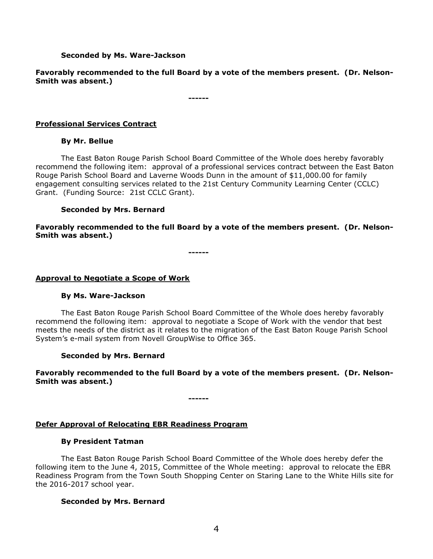#### **Seconded by Ms. Ware-Jackson**

**Favorably recommended to the full Board by a vote of the members present. (Dr. Nelson-Smith was absent.)**

**------**

### **Professional Services Contract**

#### **By Mr. Bellue**

The East Baton Rouge Parish School Board Committee of the Whole does hereby favorably recommend the following item: approval of a professional services contract between the East Baton Rouge Parish School Board and Laverne Woods Dunn in the amount of \$11,000.00 for family engagement consulting services related to the 21st Century Community Learning Center (CCLC) Grant. (Funding Source: 21st CCLC Grant).

### **Seconded by Mrs. Bernard**

**Favorably recommended to the full Board by a vote of the members present. (Dr. Nelson-Smith was absent.)**

**------**

#### **Approval to Negotiate a Scope of Work**

#### **By Ms. Ware-Jackson**

The East Baton Rouge Parish School Board Committee of the Whole does hereby favorably recommend the following item: approval to negotiate a Scope of Work with the vendor that best meets the needs of the district as it relates to the migration of the East Baton Rouge Parish School System's e-mail system from Novell GroupWise to Office 365.

### **Seconded by Mrs. Bernard**

**Favorably recommended to the full Board by a vote of the members present. (Dr. Nelson-Smith was absent.)**

**------**

### **Defer Approval of Relocating EBR Readiness Program**

#### **By President Tatman**

The East Baton Rouge Parish School Board Committee of the Whole does hereby defer the following item to the June 4, 2015, Committee of the Whole meeting: approval to relocate the EBR Readiness Program from the Town South Shopping Center on Staring Lane to the White Hills site for the 2016-2017 school year.

### **Seconded by Mrs. Bernard**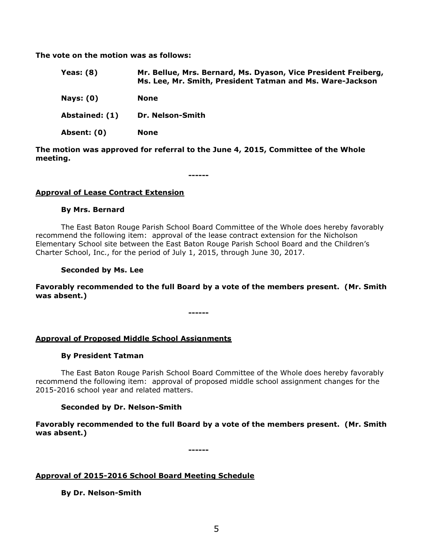**The vote on the motion was as follows:**

| Yeas: $(8)$      | Mr. Bellue, Mrs. Bernard, Ms. Dyason, Vice President Freiberg,<br>Ms. Lee, Mr. Smith, President Tatman and Ms. Ware-Jackson |
|------------------|-----------------------------------------------------------------------------------------------------------------------------|
| <b>Nays: (0)</b> | <b>None</b>                                                                                                                 |
| Abstained: (1)   | Dr. Nelson-Smith                                                                                                            |
| Absent: (0)      | <b>None</b>                                                                                                                 |

**The motion was approved for referral to the June 4, 2015, Committee of the Whole meeting.**

**------**

### **Approval of Lease Contract Extension**

### **By Mrs. Bernard**

The East Baton Rouge Parish School Board Committee of the Whole does hereby favorably recommend the following item: approval of the lease contract extension for the Nicholson Elementary School site between the East Baton Rouge Parish School Board and the Children's Charter School, Inc., for the period of July 1, 2015, through June 30, 2017.

#### **Seconded by Ms. Lee**

**Favorably recommended to the full Board by a vote of the members present. (Mr. Smith was absent.)**

**------**

### **Approval of Proposed Middle School Assignments**

#### **By President Tatman**

The East Baton Rouge Parish School Board Committee of the Whole does hereby favorably recommend the following item: approval of proposed middle school assignment changes for the 2015-2016 school year and related matters.

### **Seconded by Dr. Nelson-Smith**

**Favorably recommended to the full Board by a vote of the members present. (Mr. Smith was absent.)**

**------**

### **Approval of 2015-2016 School Board Meeting Schedule**

**By Dr. Nelson-Smith**